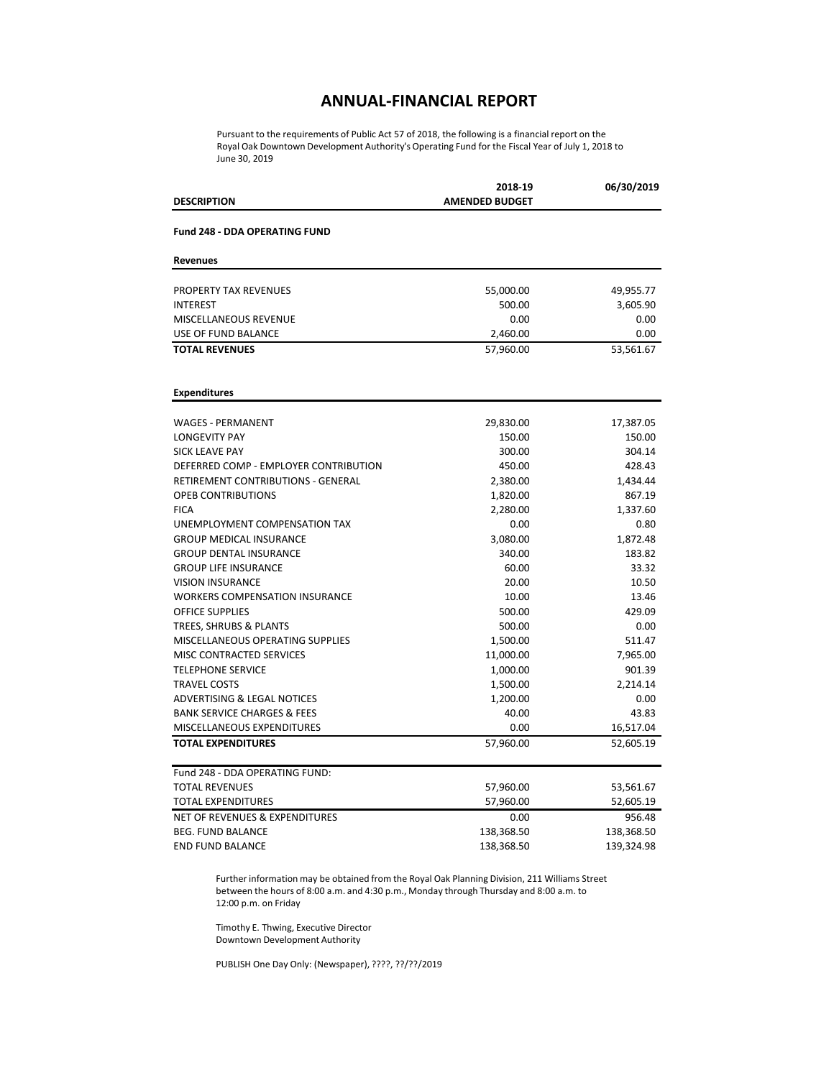### **ANNUAL-FINANCIAL REPORT**

Pursuant to the requirements of Public Act 57 of 2018, the following is a financial report on the Royal Oak Downtown Development Authority's Operating Fund for the Fiscal Year of July 1, 2018 to June 30, 2019

| <b>DESCRIPTION</b>                        | 2018-19<br><b>AMENDED BUDGET</b> | 06/30/2019 |
|-------------------------------------------|----------------------------------|------------|
| <b>Fund 248 - DDA OPERATING FUND</b>      |                                  |            |
| <b>Revenues</b>                           |                                  |            |
| <b>PROPERTY TAX REVENUES</b>              | 55,000.00                        | 49,955.77  |
| <b>INTEREST</b>                           | 500.00                           | 3,605.90   |
| MISCELLANEOUS REVENUE                     | 0.00                             | 0.00       |
| USE OF FUND BALANCE                       | 2,460.00                         | 0.00       |
| <b>TOTAL REVENUES</b>                     | 57,960.00                        | 53,561.67  |
| <b>Expenditures</b>                       |                                  |            |
| <b>WAGES - PERMANENT</b>                  | 29,830.00                        | 17,387.05  |
| <b>LONGEVITY PAY</b>                      | 150.00                           | 150.00     |
| <b>SICK LEAVE PAY</b>                     | 300.00                           | 304.14     |
| DEFERRED COMP - EMPLOYER CONTRIBUTION     | 450.00                           | 428.43     |
| <b>RETIREMENT CONTRIBUTIONS - GENERAL</b> | 2,380.00                         | 1,434.44   |
| <b>OPEB CONTRIBUTIONS</b>                 | 1,820.00                         | 867.19     |
| <b>FICA</b>                               | 2,280.00                         | 1,337.60   |
| UNEMPLOYMENT COMPENSATION TAX             | 0.00                             | 0.80       |
| <b>GROUP MEDICAL INSURANCE</b>            | 3,080.00                         | 1,872.48   |
| <b>GROUP DENTAL INSURANCE</b>             | 340.00                           | 183.82     |
| <b>GROUP LIFE INSURANCE</b>               | 60.00                            | 33.32      |
| <b>VISION INSURANCE</b>                   | 20.00                            | 10.50      |
| <b>WORKERS COMPENSATION INSURANCE</b>     | 10.00                            | 13.46      |
| <b>OFFICE SUPPLIES</b>                    | 500.00                           | 429.09     |
| TREES, SHRUBS & PLANTS                    | 500.00                           | 0.00       |
| MISCELLANEOUS OPERATING SUPPLIES          | 1,500.00                         | 511.47     |
| <b>MISC CONTRACTED SERVICES</b>           | 11,000.00                        | 7,965.00   |
| <b>TELEPHONE SERVICE</b>                  | 1,000.00                         | 901.39     |
| <b>TRAVEL COSTS</b>                       | 1,500.00                         | 2,214.14   |
| <b>ADVERTISING &amp; LEGAL NOTICES</b>    | 1,200.00                         | 0.00       |
| <b>BANK SERVICE CHARGES &amp; FEES</b>    | 40.00                            | 43.83      |
| MISCELLANEOUS EXPENDITURES                | 0.00                             | 16,517.04  |
| <b>TOTAL EXPENDITURES</b>                 | 57,960.00                        | 52,605.19  |
| Fund 248 - DDA OPERATING FUND:            |                                  |            |
| <b>TOTAL REVENUES</b>                     | 57,960.00                        | 53,561.67  |
| <b>TOTAL EXPENDITURES</b>                 | 57,960.00                        | 52,605.19  |
| <b>NET OF REVENUES &amp; EXPENDITURES</b> | 0.00                             | 956.48     |
| <b>BEG. FUND BALANCE</b>                  | 138,368.50                       | 138,368.50 |
| <b>END FUND BALANCE</b>                   | 138,368.50                       | 139,324.98 |

Further information may be obtained from the Royal Oak Planning Division, 211 Williams Street between the hours of 8:00 a.m. and 4:30 p.m., Monday through Thursday and 8:00 a.m. to 12:00 p.m. on Friday

Timothy E. Thwing, Executive Director Downtown Development Authority

PUBLISH One Day Only: (Newspaper), ????, ??/??/2019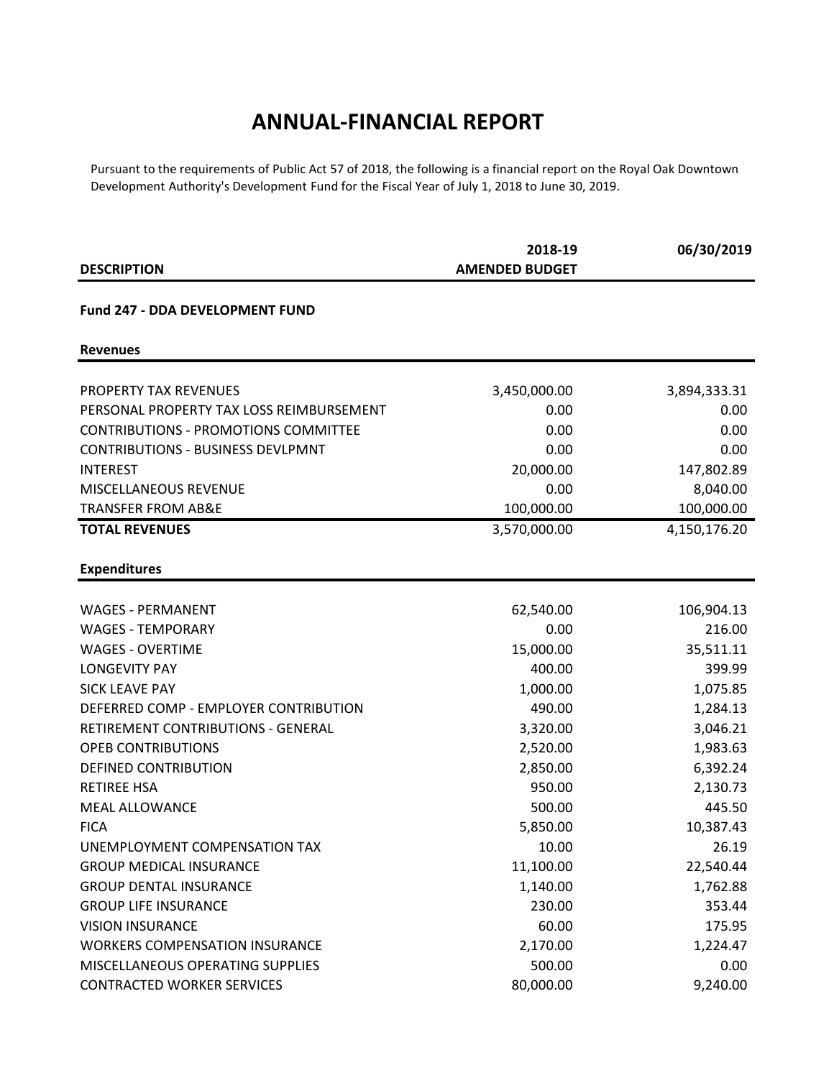## **ANNUAL-FINANCIAL REPORT**

Pursuant to the requirements of Public Act 57 of 2018, the following is a financial report on the Royal Oak Downtown Development Authority's Development Fund for the Fiscal Year of July 1, 2018 to June 30, 2019.

|                                             | 2018-19               | 06/30/2019   |  |
|---------------------------------------------|-----------------------|--------------|--|
| <b>DESCRIPTION</b>                          | <b>AMENDED BUDGET</b> |              |  |
| Fund 247 - DDA DEVELOPMENT FUND             |                       |              |  |
| <b>Revenues</b>                             |                       |              |  |
| <b>PROPERTY TAX REVENUES</b>                | 3,450,000.00          | 3,894,333.31 |  |
| PERSONAL PROPERTY TAX LOSS REIMBURSEMENT    | 0.00                  | 0.00         |  |
| <b>CONTRIBUTIONS - PROMOTIONS COMMITTEE</b> | 0.00                  | 0.00         |  |
| <b>CONTRIBUTIONS - BUSINESS DEVLPMNT</b>    | 0.00                  | 0.00         |  |
| <b>INTEREST</b>                             | 20,000.00             | 147,802.89   |  |
| MISCELLANEOUS REVENUE                       | 0.00                  | 8,040.00     |  |
| <b>TRANSFER FROM AB&amp;E</b>               | 100,000.00            | 100,000.00   |  |
| <b>TOTAL REVENUES</b>                       | 3,570,000.00          | 4,150,176.20 |  |
| <b>Expenditures</b>                         |                       |              |  |
|                                             |                       |              |  |
| <b>WAGES - PERMANENT</b>                    | 62,540.00             | 106,904.13   |  |
| <b>WAGES - TEMPORARY</b>                    | 0.00                  | 216.00       |  |
| <b>WAGES - OVERTIME</b>                     | 15,000.00             | 35,511.11    |  |
| <b>LONGEVITY PAY</b>                        | 400.00                | 399.99       |  |
| <b>SICK LEAVE PAY</b>                       | 1,000.00              | 1,075.85     |  |
| DEFERRED COMP - EMPLOYER CONTRIBUTION       | 490.00                | 1,284.13     |  |
| RETIREMENT CONTRIBUTIONS - GENERAL          | 3,320.00              | 3,046.21     |  |
| <b>OPEB CONTRIBUTIONS</b>                   | 2,520.00              | 1,983.63     |  |
| DEFINED CONTRIBUTION                        | 2,850.00              | 6,392.24     |  |
| <b>RETIREE HSA</b>                          | 950.00                | 2,130.73     |  |
| <b>MEAL ALLOWANCE</b>                       | 500.00                | 445.50       |  |
| <b>FICA</b>                                 | 5,850.00              | 10,387.43    |  |
| UNEMPLOYMENT COMPENSATION TAX               | 10.00                 | 26.19        |  |
| <b>GROUP MEDICAL INSURANCE</b>              | 11,100.00             | 22,540.44    |  |
| <b>GROUP DENTAL INSURANCE</b>               | 1,140.00              | 1,762.88     |  |
| <b>GROUP LIFE INSURANCE</b>                 | 230.00                | 353.44       |  |
| <b>VISION INSURANCE</b>                     | 60.00                 | 175.95       |  |
| <b>WORKERS COMPENSATION INSURANCE</b>       | 2,170.00              | 1,224.47     |  |
| MISCELLANEOUS OPERATING SUPPLIES            | 500.00                | 0.00         |  |
| <b>CONTRACTED WORKER SERVICES</b>           | 80,000.00             | 9,240.00     |  |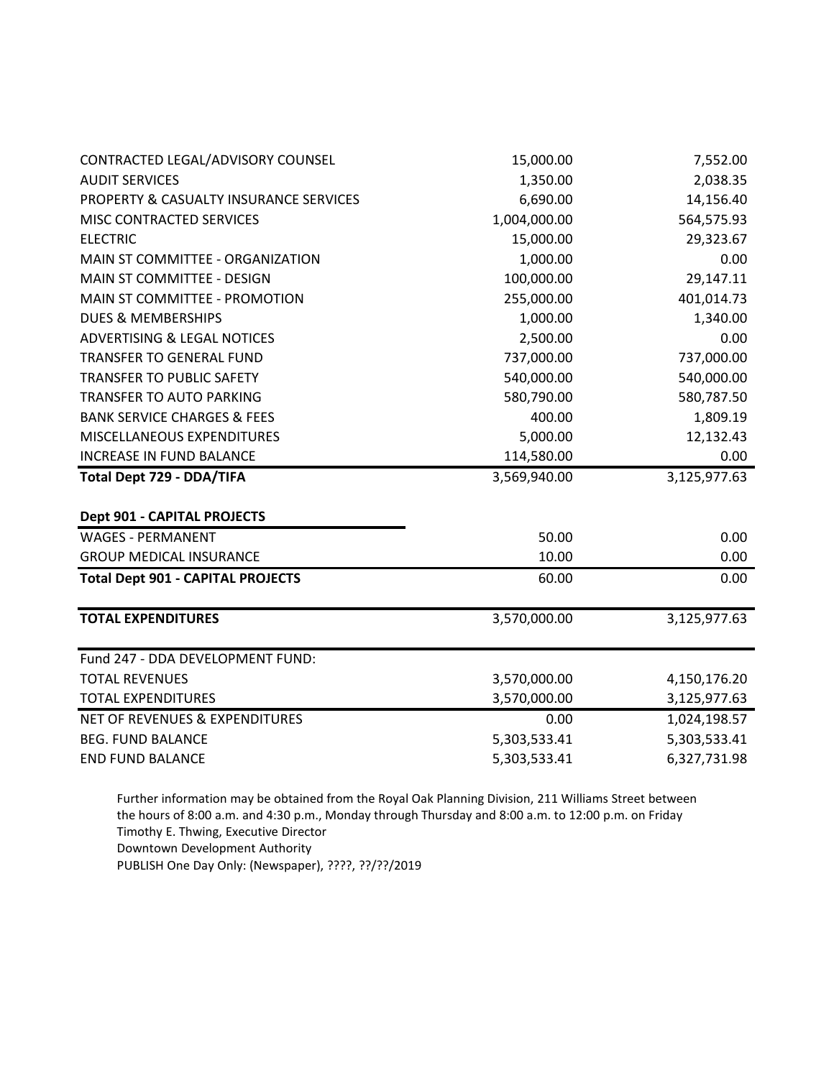| CONTRACTED LEGAL/ADVISORY COUNSEL                 | 15,000.00    | 7,552.00     |
|---------------------------------------------------|--------------|--------------|
| <b>AUDIT SERVICES</b>                             | 1,350.00     | 2,038.35     |
| <b>PROPERTY &amp; CASUALTY INSURANCE SERVICES</b> | 6,690.00     | 14,156.40    |
| MISC CONTRACTED SERVICES                          | 1,004,000.00 | 564,575.93   |
| <b>ELECTRIC</b>                                   | 15,000.00    | 29,323.67    |
| MAIN ST COMMITTEE - ORGANIZATION                  | 1,000.00     | 0.00         |
| MAIN ST COMMITTEE - DESIGN                        | 100,000.00   | 29,147.11    |
| MAIN ST COMMITTEE - PROMOTION                     | 255,000.00   | 401,014.73   |
| <b>DUES &amp; MEMBERSHIPS</b>                     | 1,000.00     | 1,340.00     |
| <b>ADVERTISING &amp; LEGAL NOTICES</b>            | 2,500.00     | 0.00         |
| <b>TRANSFER TO GENERAL FUND</b>                   | 737,000.00   | 737,000.00   |
| <b>TRANSFER TO PUBLIC SAFETY</b>                  | 540,000.00   | 540,000.00   |
| <b>TRANSFER TO AUTO PARKING</b>                   | 580,790.00   | 580,787.50   |
| <b>BANK SERVICE CHARGES &amp; FEES</b>            | 400.00       | 1,809.19     |
| MISCELLANEOUS EXPENDITURES                        | 5,000.00     | 12,132.43    |
| <b>INCREASE IN FUND BALANCE</b>                   | 114,580.00   | 0.00         |
| <b>Total Dept 729 - DDA/TIFA</b>                  | 3,569,940.00 | 3,125,977.63 |
| <b>Dept 901 - CAPITAL PROJECTS</b>                |              |              |
| <b>WAGES - PERMANENT</b>                          | 50.00        | 0.00         |
| <b>GROUP MEDICAL INSURANCE</b>                    | 10.00        | 0.00         |
| <b>Total Dept 901 - CAPITAL PROJECTS</b>          | 60.00        | 0.00         |
| <b>TOTAL EXPENDITURES</b>                         | 3,570,000.00 | 3,125,977.63 |
| Fund 247 - DDA DEVELOPMENT FUND:                  |              |              |
| <b>TOTAL REVENUES</b>                             | 3,570,000.00 | 4,150,176.20 |
| <b>TOTAL EXPENDITURES</b>                         | 3,570,000.00 | 3,125,977.63 |
| <b>NET OF REVENUES &amp; EXPENDITURES</b>         | 0.00         | 1,024,198.57 |
| <b>BEG. FUND BALANCE</b>                          | 5,303,533.41 | 5,303,533.41 |
| <b>END FUND BALANCE</b>                           | 5,303,533.41 | 6,327,731.98 |

Further information may be obtained from the Royal Oak Planning Division, 211 Williams Street between the hours of 8:00 a.m. and 4:30 p.m., Monday through Thursday and 8:00 a.m. to 12:00 p.m. on Friday Timothy E. Thwing, Executive Director Downtown Development Authority

PUBLISH One Day Only: (Newspaper), ????, ??/??/2019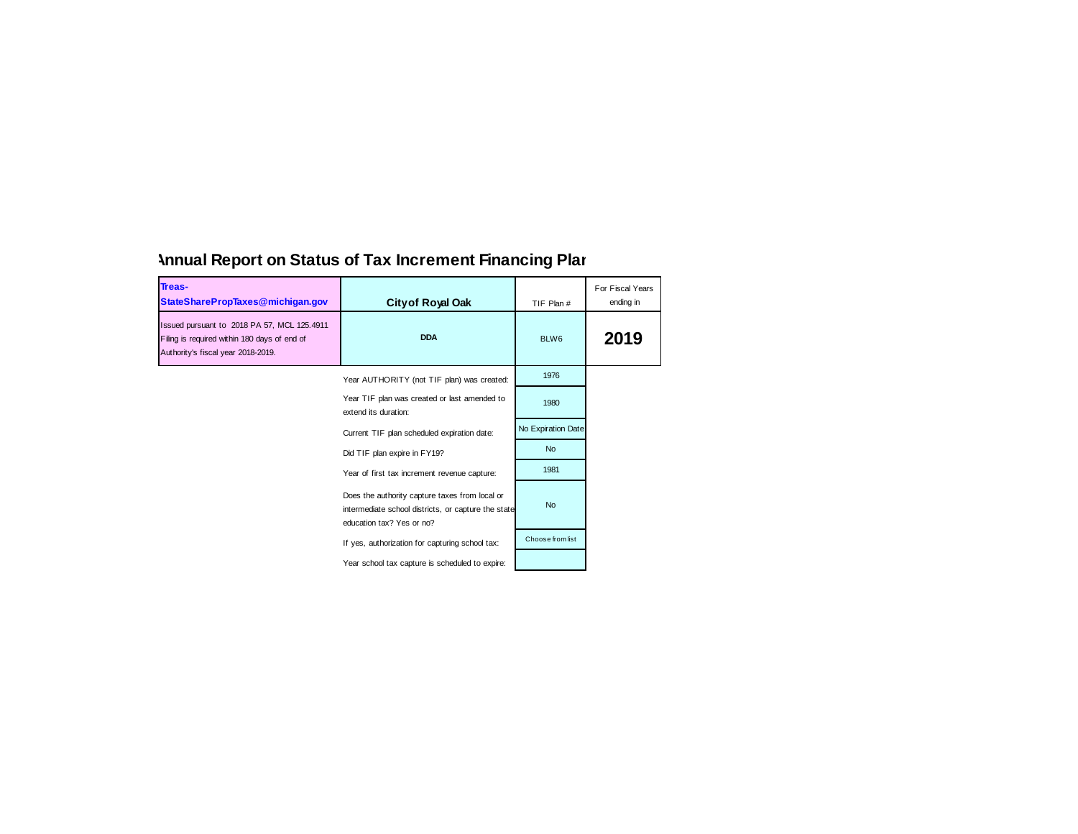| Treas-<br>StateSharePropTaxes@michigan.gov                                                                                        | <b>City of Royal Oak</b>                                                                                                           | TIF Plan #         | For Fiscal Years<br>ending in |
|-----------------------------------------------------------------------------------------------------------------------------------|------------------------------------------------------------------------------------------------------------------------------------|--------------------|-------------------------------|
| Issued pursuant to 2018 PA 57, MCL 125.4911<br>Filing is required within 180 days of end of<br>Authority's fiscal year 2018-2019. | <b>DDA</b>                                                                                                                         | BLW6               | 2019                          |
|                                                                                                                                   | Year AUTHORITY (not TIF plan) was created:                                                                                         | 1976               |                               |
|                                                                                                                                   | Year TIF plan was created or last amended to<br>extend its duration:                                                               | 1980               |                               |
|                                                                                                                                   | Current TIF plan scheduled expiration date:                                                                                        | No Expiration Date |                               |
|                                                                                                                                   | Did TIF plan expire in FY19?                                                                                                       | <b>No</b>          |                               |
|                                                                                                                                   | Year of first tax increment revenue capture:                                                                                       | 1981               |                               |
|                                                                                                                                   | Does the authority capture taxes from local or<br>intermediate school districts, or capture the state<br>education tax? Yes or no? | <b>No</b>          |                               |
|                                                                                                                                   | If yes, authorization for capturing school tax:                                                                                    | Choose from list   |                               |
|                                                                                                                                   | Year school tax capture is scheduled to expire:                                                                                    |                    |                               |

# **Annual Report on Status of Tax Increment Financing Plan**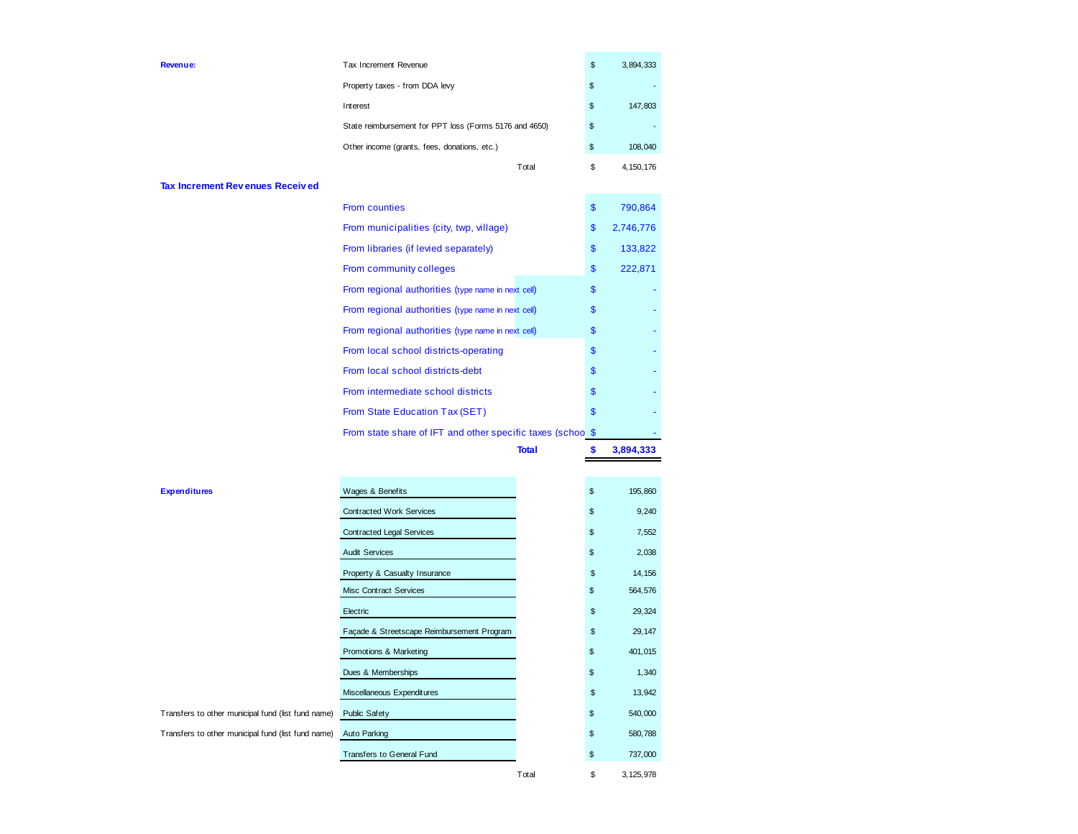| Tax Increment Revenue                                  | \$ | 3,894,333   |
|--------------------------------------------------------|----|-------------|
| Property taxes - from DDA levy                         | \$ |             |
| Interest                                               | \$ | 147,803     |
| State reimbursement for PPT loss (Forms 5176 and 4650) | \$ |             |
| Other income (grants, fees, donations, etc.)           | \$ | 108,040     |
| Total                                                  | S  | 4, 150, 176 |

#### **Tax Increment Revenues Received**

**Revenue:**

| <b>From counties</b>                                       | \$ | 790,864   |
|------------------------------------------------------------|----|-----------|
| From municipalities (city, twp, village)                   | \$ | 2,746,776 |
| From libraries (if levied separately)                      | \$ | 133,822   |
| From community colleges                                    | \$ | 222,871   |
| From regional authorities (type name in next cell)         | \$ |           |
| From regional authorities (type name in next cell)         | \$ |           |
| From regional authorities (type name in next cell)         | \$ |           |
| From local school districts-operating                      | \$ |           |
| From local school districts-debt                           | \$ |           |
| From intermediate school districts                         | \$ |           |
| From State Education Tax (SET)                             | \$ |           |
| From state share of IFT and other specific taxes (schoo \$ |    |           |
| <b>Total</b>                                               | S  | 3.894.333 |

| <b>Expenditures</b>                                | Wages & Benefits                           | \$ | 195,860 |
|----------------------------------------------------|--------------------------------------------|----|---------|
|                                                    | <b>Contracted Work Services</b>            | \$ | 9,240   |
|                                                    | <b>Contracted Legal Services</b>           | \$ | 7,552   |
|                                                    | <b>Audit Services</b>                      | \$ | 2,038   |
|                                                    | Property & Casualty Insurance              | \$ | 14, 156 |
|                                                    | <b>Misc Contract Services</b>              | \$ | 564,576 |
|                                                    | Electric                                   | \$ | 29,324  |
|                                                    | Façade & Streetscape Reimbursement Program | \$ | 29,147  |
|                                                    | Promotions & Marketing                     | \$ | 401,015 |
|                                                    | Dues & Memberships                         | \$ | 1,340   |
|                                                    | Miscellaneous Expenditures                 | \$ | 13,942  |
| Transfers to other municipal fund (list fund name) | Public Safety                              | \$ | 540,000 |
| Transfers to other municipal fund (list fund name) | Auto Parking                               | \$ | 580,788 |
|                                                    | <b>Transfers to General Fund</b>           | \$ | 737,000 |
|                                                    |                                            |    |         |

#### **Expenditures**

Total 3,125,978 \$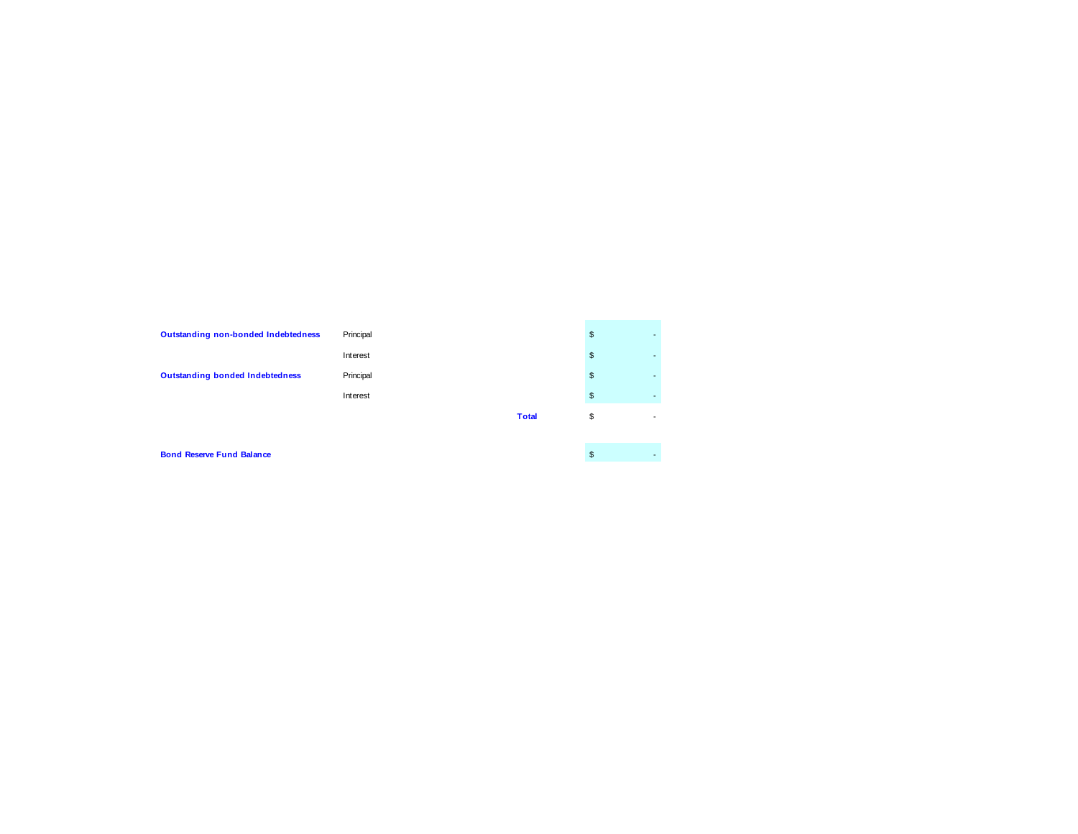| Outstanding non-bonded Indebtedness    | Principal |              | \$<br>-                        |
|----------------------------------------|-----------|--------------|--------------------------------|
|                                        | Interest  |              | \$<br>-                        |
| <b>Outstanding bonded Indebtedness</b> | Principal |              | \$<br><b>.</b>                 |
|                                        | Interest  |              | \$                             |
|                                        |           | <b>Total</b> | \$<br>$\overline{\phantom{a}}$ |
|                                        |           |              |                                |

 $\sqrt{2}$ 

**Bond Reserve Fund Balance**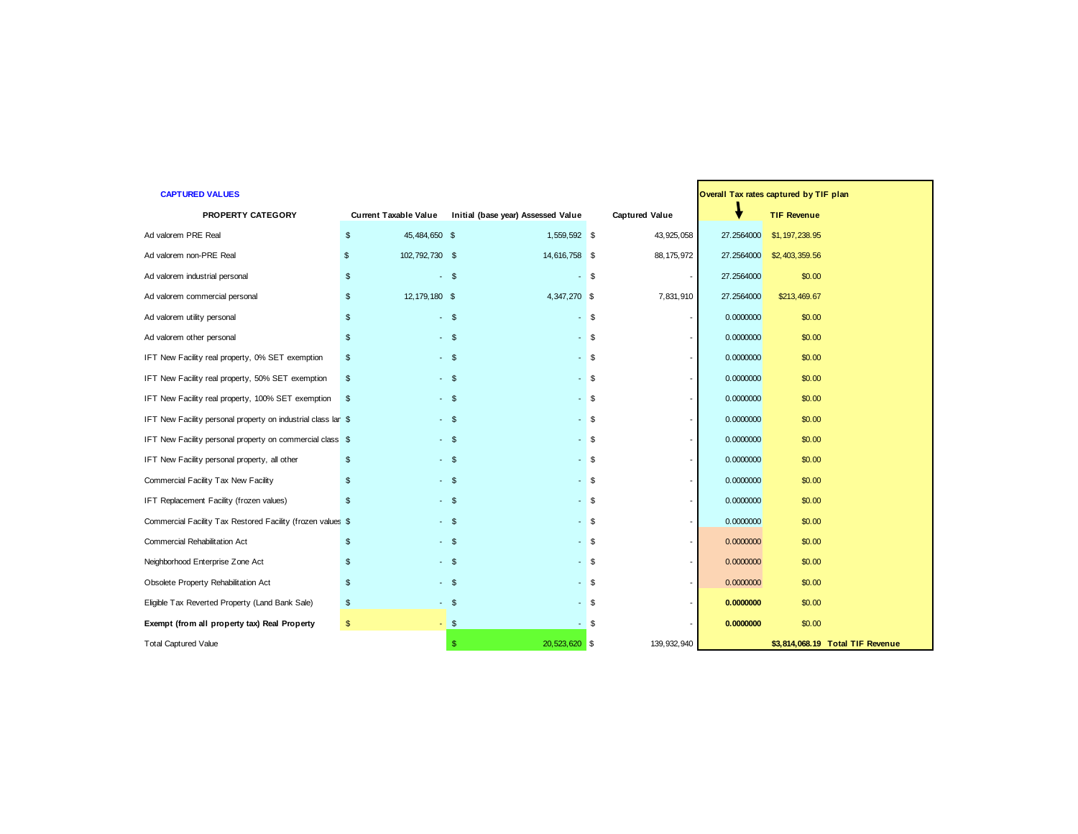| <b>CAPTURED VALUES</b>                                        |                              | Overall Tax rates captured by TIF plan |                       |            |                                  |
|---------------------------------------------------------------|------------------------------|----------------------------------------|-----------------------|------------|----------------------------------|
| PROPERTY CATEGORY                                             | <b>Current Taxable Value</b> | Initial (base year) Assessed Value     | <b>Captured Value</b> |            | <b>TIF Revenue</b>               |
| Ad valorem PRE Real                                           | \$<br>45,484,650 \$          | 1,559,592 \$                           | 43, 925, 058          | 27.2564000 | \$1,197,238.95                   |
| Ad valorem non-PRE Real                                       | 102,792,730 \$<br>\$         | 14,616,758 \$                          | 88, 175, 972          | 27.2564000 | \$2,403,359.56                   |
| Ad valorem industrial personal                                | $\mathfrak{s}$               | $-$ \$                                 | $-$ \$                | 27.2564000 | \$0.00                           |
| Ad valorem commercial personal                                | 12, 179, 180 \$<br>\$        | 4,347,270 \$                           | 7,831,910             | 27.2564000 | \$213,469.67                     |
| Ad valorem utility personal                                   | \$                           | $-$ \$                                 | $-$ \$                | 0.0000000  | \$0.00                           |
| Ad valorem other personal                                     | $\mathfrak{L}$               | $-$ \$                                 | $-$ \$                | 0.0000000  | \$0.00                           |
| IFT New Facility real property, 0% SET exemption              | $\mathfrak s$                | $-$ \$                                 | $-$ \$                | 0.0000000  | \$0.00                           |
| IFT New Facility real property, 50% SET exemption             | \$                           | $-$ \$                                 | $-$ \$                | 0.0000000  | \$0.00                           |
| IFT New Facility real property, 100% SET exemption            | \$                           | - \$                                   | - \$                  | 0.0000000  | \$0.00                           |
| IFT New Facility personal property on industrial class lar \$ |                              | $-$ \$                                 | $-$ \$                | 0.0000000  | \$0.00                           |
| IFT New Facility personal property on commercial class \$     |                              | $-$ \$                                 | $-$ \$                | 0.0000000  | \$0.00                           |
| IFT New Facility personal property, all other                 | \$                           | $-$ \$                                 | $-$ \$                | 0.0000000  | \$0.00                           |
| Commercial Facility Tax New Facility                          | \$                           | $-$ \$                                 | $-$ \$                | 0.0000000  | \$0.00                           |
| IFT Replacement Facility (frozen values)                      | \$                           | $-$ \$                                 | $-$ \$                | 0.0000000  | \$0.00                           |
| Commercial Facility Tax Restored Facility (frozen values \$   |                              | $-$ \$                                 | $-$ \$                | 0.0000000  | \$0.00                           |
| Commercial Rehabilitation Act                                 | \$                           | $-$ \$                                 | $-$ \$                | 0.0000000  | \$0.00                           |
| Neighborhood Enterprise Zone Act                              | \$                           | $-$ \$                                 | $-$ \$                | 0.0000000  | \$0.00                           |
| Obsolete Property Rehabilitation Act                          | $\mathfrak{s}$               | $-$ \$                                 | - \$                  | 0.0000000  | \$0.00                           |
| Eligible Tax Reverted Property (Land Bank Sale)               | $\mathfrak s$                | $-$ \$                                 | $-$ \$                | 0.0000000  | \$0.00                           |
| Exempt (from all property tax) Real Property                  | $\frac{1}{2}$                | $-$ \$<br>$\sim$                       | \$                    | 0.0000000  | \$0.00                           |
| <b>Total Captured Value</b>                                   |                              | 20,523,620 \$<br>s.                    | 139, 932, 940         |            | \$3,814,068.19 Total TIF Revenue |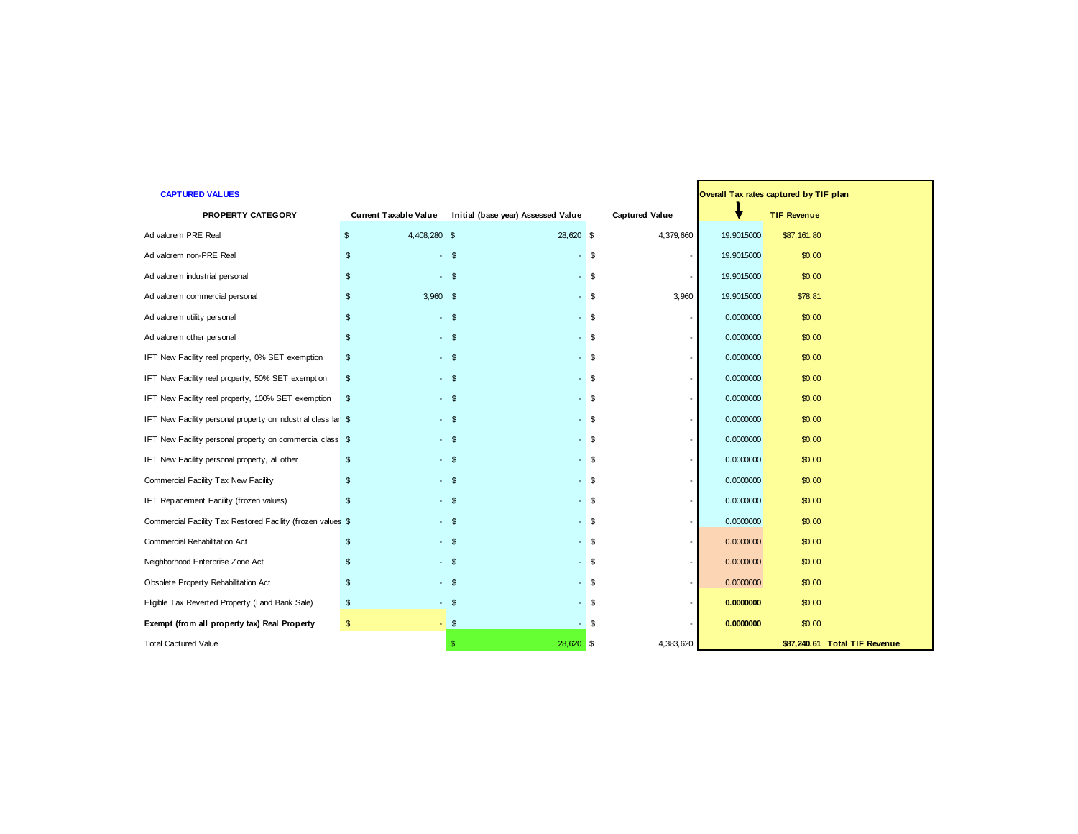| <b>CAPTURED VALUES</b>                                        |                         |                              |        |                                    |        |                       | Overall Tax rates captured by TIF plan |                    |                               |
|---------------------------------------------------------------|-------------------------|------------------------------|--------|------------------------------------|--------|-----------------------|----------------------------------------|--------------------|-------------------------------|
| PROPERTY CATEGORY                                             |                         | <b>Current Taxable Value</b> |        | Initial (base year) Assessed Value |        | <b>Captured Value</b> | v                                      | <b>TIF Revenue</b> |                               |
| Ad valorem PRE Real                                           |                         | 4,408,280 \$                 |        | 28,620 \$                          |        | 4,379,660             | 19.9015000                             | \$87,161.80        |                               |
| Ad valorem non-PRE Real                                       | \$                      |                              | $-$ \$ | $-$ \$                             |        |                       | 19.9015000                             | \$0.00             |                               |
| Ad valorem industrial personal                                | $\mathfrak{s}$          | $-$ \$                       |        | $-$ \$                             |        |                       | 19.9015000                             | \$0.00             |                               |
| Ad valorem commercial personal                                | \$                      | $3,960$ \$                   |        |                                    | $-$ \$ | 3,960                 | 19.9015000                             | \$78.81            |                               |
| Ad valorem utility personal                                   | \$                      |                              | $-$ \$ | $-$ \$                             |        |                       | 0.0000000                              | \$0.00             |                               |
| Ad valorem other personal                                     | \$                      | $-$ \$                       |        | $-$ \$                             |        |                       | 0.0000000                              | \$0.00             |                               |
| IFT New Facility real property, 0% SET exemption              | $\mathfrak{s}$          | $-$ \$                       |        |                                    | $-$ \$ |                       | 0.0000000                              | \$0.00             |                               |
| IFT New Facility real property, 50% SET exemption             | \$                      |                              | $-$ \$ | $-$ \$                             |        |                       | 0.0000000                              | \$0.00             |                               |
| IFT New Facility real property, 100% SET exemption            | $\mathbf{s}$            |                              | $-$ \$ | $-$ \$                             |        |                       | 0.0000000                              | \$0.00             |                               |
| IFT New Facility personal property on industrial class lar \$ |                         |                              | $-$ \$ |                                    | $-$ \$ |                       | 0.0000000                              | \$0.00             |                               |
| IFT New Facility personal property on commercial class \$     |                         |                              | $-$ \$ | $-$ \$                             |        |                       | 0.0000000                              | \$0.00             |                               |
| IFT New Facility personal property, all other                 | $\mathfrak{S}$          |                              | $-$ \$ |                                    | $-$ \$ |                       | 0.0000000                              | \$0.00             |                               |
| Commercial Facility Tax New Facility                          | \$                      | $-$ \$                       |        | $-$ \$                             |        |                       | 0.0000000                              | \$0.00             |                               |
| IFT Replacement Facility (frozen values)                      | $\mathfrak{L}$          |                              | $-$ \$ | $-$ \$                             |        |                       | 0.0000000                              | \$0.00             |                               |
| Commercial Facility Tax Restored Facility (frozen values \$   |                         |                              | $-$ \$ |                                    | $-$ \$ |                       | 0.0000000                              | \$0.00             |                               |
| Commercial Rehabilitation Act                                 | \$                      |                              | $-$ \$ | $-$ \$                             |        |                       | 0.0000000                              | \$0.00             |                               |
| Neighborhood Enterprise Zone Act                              | $\mathfrak{L}$          | $-$ \$                       |        | $-$ \$                             |        |                       | 0.0000000                              | \$0.00             |                               |
| Obsolete Property Rehabilitation Act                          | $\mathfrak{S}$          |                              | $-$ \$ |                                    | $-$ \$ |                       | 0.0000000                              | \$0.00             |                               |
| Eligible Tax Reverted Property (Land Bank Sale)               | $\frac{3}{2}$           |                              | $-$ \$ |                                    | $-$ \$ |                       | 0.0000000                              | \$0.00             |                               |
| Exempt (from all property tax) Real Property                  | $\sqrt[6]{\frac{1}{2}}$ |                              | $-$ \$ | $\sim$                             | -\$    |                       | 0.0000000                              | \$0.00             |                               |
| <b>Total Captured Value</b>                                   |                         |                              | -S     | 28,620 \$                          |        | 4,383,620             |                                        |                    | \$87,240.61 Total TIF Revenue |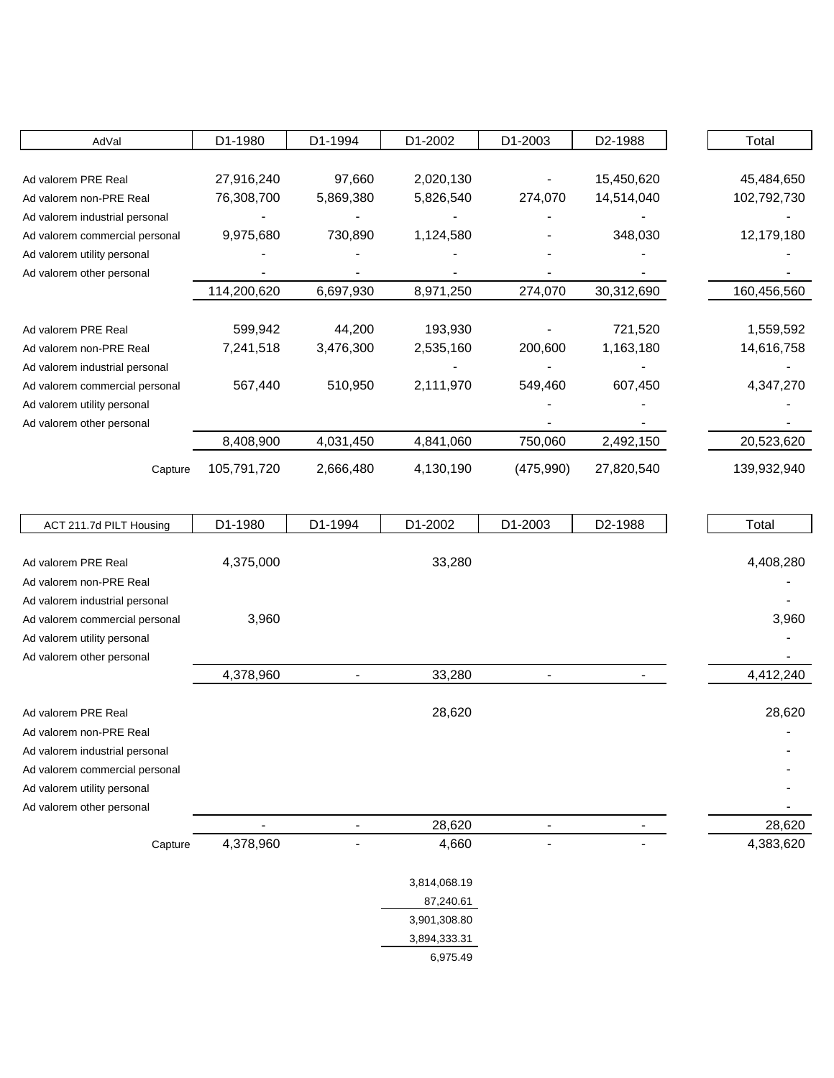| AdVal                          | D1-1980     | D1-1994   | D1-2002   | D1-2003    | D <sub>2</sub> -1988 | Total       |
|--------------------------------|-------------|-----------|-----------|------------|----------------------|-------------|
|                                |             |           |           |            |                      |             |
| Ad valorem PRE Real            | 27,916,240  | 97,660    | 2,020,130 |            | 15,450,620           | 45,484,650  |
| Ad valorem non-PRE Real        | 76,308,700  | 5,869,380 | 5,826,540 | 274,070    | 14,514,040           | 102,792,730 |
| Ad valorem industrial personal |             |           |           |            |                      |             |
| Ad valorem commercial personal | 9,975,680   | 730,890   | 1,124,580 |            | 348,030              | 12,179,180  |
| Ad valorem utility personal    |             |           |           |            |                      |             |
| Ad valorem other personal      |             |           |           |            |                      |             |
|                                | 114,200,620 | 6,697,930 | 8,971,250 | 274,070    | 30,312,690           | 160,456,560 |
|                                |             |           |           |            |                      |             |
| Ad valorem PRE Real            | 599,942     | 44,200    | 193,930   |            | 721,520              | 1,559,592   |
| Ad valorem non-PRE Real        | 7,241,518   | 3,476,300 | 2,535,160 | 200,600    | 1,163,180            | 14,616,758  |
| Ad valorem industrial personal |             |           |           |            |                      |             |
| Ad valorem commercial personal | 567,440     | 510,950   | 2,111,970 | 549,460    | 607,450              | 4,347,270   |
| Ad valorem utility personal    |             |           |           |            |                      |             |
| Ad valorem other personal      |             |           |           |            |                      |             |
|                                | 8,408,900   | 4,031,450 | 4,841,060 | 750,060    | 2,492,150            | 20,523,620  |
| Capture                        | 105,791,720 | 2,666,480 | 4,130,190 | (475, 990) | 27,820,540           | 139,932,940 |

| ACT 211.7d PILT Housing        | D1-1980   | D1-1994 | D1-2002      | D1-2003 | D2-1988 | Total     |
|--------------------------------|-----------|---------|--------------|---------|---------|-----------|
|                                |           |         |              |         |         |           |
| Ad valorem PRE Real            | 4,375,000 |         | 33,280       |         |         | 4,408,280 |
| Ad valorem non-PRE Real        |           |         |              |         |         |           |
| Ad valorem industrial personal |           |         |              |         |         |           |
| Ad valorem commercial personal | 3,960     |         |              |         |         | 3,960     |
| Ad valorem utility personal    |           |         |              |         |         |           |
| Ad valorem other personal      |           |         |              |         |         |           |
|                                | 4,378,960 |         | 33,280       |         |         | 4,412,240 |
|                                |           |         |              |         |         |           |
| Ad valorem PRE Real            |           |         | 28,620       |         |         | 28,620    |
| Ad valorem non-PRE Real        |           |         |              |         |         |           |
| Ad valorem industrial personal |           |         |              |         |         |           |
| Ad valorem commercial personal |           |         |              |         |         |           |
| Ad valorem utility personal    |           |         |              |         |         |           |
| Ad valorem other personal      |           |         |              |         |         |           |
|                                |           |         | 28,620       |         |         | 28,620    |
| Capture                        | 4,378,960 |         | 4,660        |         |         | 4,383,620 |
|                                |           |         |              |         |         |           |
|                                |           |         | 3,814,068.19 |         |         |           |
|                                |           |         | 87,240.61    |         |         |           |
|                                |           |         | 3,901,308.80 |         |         |           |
|                                |           |         | 3,894,333.31 |         |         |           |
|                                |           |         | 6,975.49     |         |         |           |